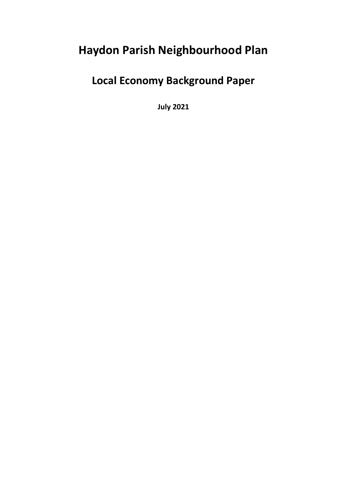# **Haydon Parish Neighbourhood Plan**

# **Local Economy Background Paper**

**July 2021**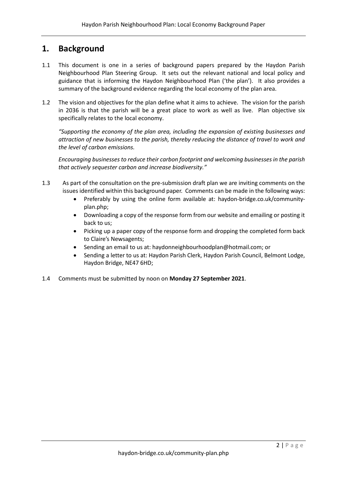## **1. Background**

- 1.1 This document is one in a series of background papers prepared by the Haydon Parish Neighbourhood Plan Steering Group. It sets out the relevant national and local policy and guidance that is informing the Haydon Neighbourhood Plan ('the plan'). It also provides a summary of the background evidence regarding the local economy of the plan area.
- 1.2 The vision and objectives for the plan define what it aims to achieve. The vision for the parish in 2036 is that the parish will be a great place to work as well as live. Plan objective six specifically relates to the local economy.

*"Supporting the economy of the plan area, including the expansion of existing businesses and attraction of new businesses to the parish, thereby reducing the distance of travel to work and the level of carbon emissions.* 

*Encouraging businesses to reduce their carbon footprint and welcoming businesses in the parish that actively sequester carbon and increase biodiversity."*

- 1.3 As part of the consultation on the pre-submission draft plan we are inviting comments on the issues identified within this background paper. Comments can be made in the following ways:
	- Preferably by using the online form available at: haydon-bridge.co.uk/communityplan.php;
	- Downloading a copy of the response form from our website and emailing or posting it back to us;
	- Picking up a paper copy of the response form and dropping the completed form back to Claire's Newsagents;
	- Sending an email to us at: haydonneighbourhoodplan@hotmail.com; or
	- Sending a letter to us at: Haydon Parish Clerk, Haydon Parish Council, Belmont Lodge, Haydon Bridge, NE47 6HD;
- 1.4 Comments must be submitted by noon on **Monday 27 September 2021**.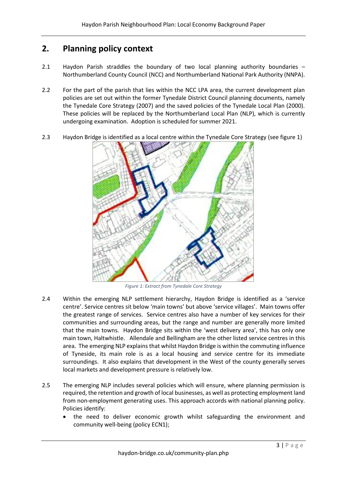## **2. Planning policy context**

- 2.1 Haydon Parish straddles the boundary of two local planning authority boundaries Northumberland County Council (NCC) and Northumberland National Park Authority (NNPA).
- 2.2 For the part of the parish that lies within the NCC LPA area, the current development plan policies are set out within the former Tynedale District Council planning documents, namely the Tynedale Core Strategy (2007) and the saved policies of the Tynedale Local Plan (2000). These policies will be replaced by the Northumberland Local Plan (NLP), which is currently undergoing examination. Adoption is scheduled for summer 2021.
- 2.3 Haydon Bridge is identified as a local centre within the Tynedale Core Strategy (see figure 1)



*Figure 1: Extract from Tynedale Core Strategy*

- 2.4 Within the emerging NLP settlement hierarchy, Haydon Bridge is identified as a 'service centre'. Service centres sit below 'main towns' but above 'service villages'. Main towns offer the greatest range of services. Service centres also have a number of key services for their communities and surrounding areas, but the range and number are generally more limited that the main towns. Haydon Bridge sits within the 'west delivery area', this has only one main town, Haltwhistle. Allendale and Bellingham are the other listed service centres in this area. The emerging NLP explains that whilst Haydon Bridge is within the commuting influence of Tyneside, its main role is as a local housing and service centre for its immediate surroundings. It also explains that development in the West of the county generally serves local markets and development pressure is relatively low.
- 2.5 The emerging NLP includes several policies which will ensure, where planning permission is required, the retention and growth of local businesses, as well as protecting employment land from non-employment generating uses. This approach accords with national planning policy. Policies identify:
	- the need to deliver economic growth whilst safeguarding the environment and community well-being (policy ECN1);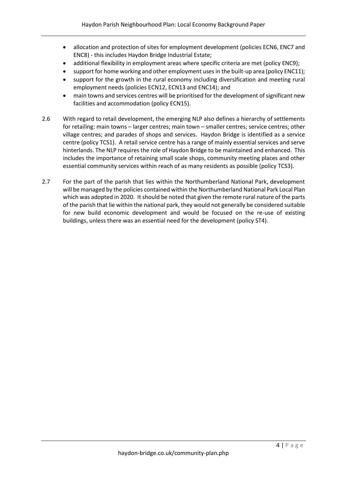- allocation and protection of sites for employment development (policies ECN6, ENC7 and ENC8) - this includes Haydon Bridge Industrial Estate;
- additional flexibility in employment areas where specific criteria are met (policy ENC9);
- support for home working and other employment uses in the built-up area (policy ENC11);
- support for the growth in the rural economy including diversification and meeting rural employment needs (policies ECN12, ECN13 and ENC14); and
- main towns and services centres will be prioritised for the development of significant new facilities and accommodation (policy ECN15).
- 2.6 With regard to retail development, the emerging NLP also defines a hierarchy of settlements for retailing: main towns – larger centres; main town – smaller centres; service centres; other village centres; and parades of shops and services. Haydon Bridge is identified as a service centre (policy TCS1). A retail service centre has a range of mainly essential services and serve hinterlands. The NLP requires the role of Haydon Bridge to be maintained and enhanced. This includes the importance of retaining small scale shops, community meeting places and other essential community services within reach of as many residents as possible (policy TCS3).
- 2.7 For the part of the parish that lies within the Northumberland National Park, development will be managed by the policies contained within the Northumberland National Park Local Plan which was adopted in 2020. It should be noted that given the remote rural nature of the parts of the parish that lie within the national park, they would not generally be considered suitable for new build economic development and would be focused on the re-use of existing buildings, unless there was an essential need for the development (policy ST4).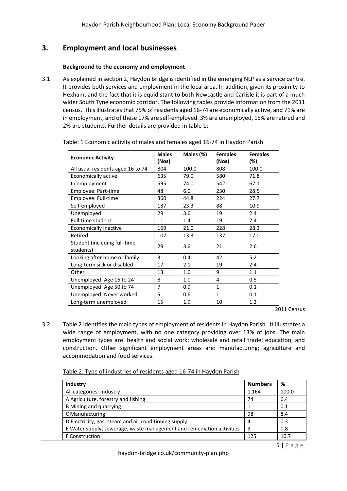## **3. Employment and local businesses**

### **Background to the economy and employment**

3.1 As explained in section 2, Haydon Bridge is identified in the emerging NLP as a service centre. It provides both services and employment in the local area. In addition, given its proximity to Hexham, and the fact that it is equidistant to both Newcastle and Carlisle it is part of a much wider South Tyne economic corridor. The following tables provide information from the 2011 census. This illustrates that 75% of residents aged 16-74 are economically active, and 71% are in employment, and of these 17% are self-employed. 3% are unemployed, 15% are retired and 2% are students. Further details are provided in table 1:

| <b>Economic Activity</b>                  | <b>Males</b><br>(Nos) | Males (%) | <b>Females</b><br>(Nos) | <b>Females</b><br>(%) |
|-------------------------------------------|-----------------------|-----------|-------------------------|-----------------------|
| All usual residents aged 16 to 74         | 804                   | 100.0     | 808                     | 100.0                 |
| Economically active                       | 635                   | 79.0      | 580                     | 71.8                  |
| In employment                             | 595                   | 74.0      | 542                     | 67.1                  |
| Employee: Part-time                       | 48                    | 6.0       | 230                     | 28.5                  |
| Employee: Full-time                       | 360                   | 44.8      | 224                     | 27.7                  |
| Self-employed                             | 187                   | 23.3      | 88                      | 10.9                  |
| Unemployed                                | 29                    | 3.6       | 19                      | 2.4                   |
| <b>Full-time student</b>                  | 11                    | 1.4       | 19                      | 2.4                   |
| <b>Economically Inactive</b>              | 169                   | 21.0      | 228                     | 28.2                  |
| Retired                                   | 107                   | 13.3      | 137                     | 17.0                  |
| Student (including full-time<br>students) | 29                    | 3.6       | 21                      | 2.6                   |
| Looking after home or family              | 3                     | 0.4       | 42                      | 5.2                   |
| Long-term sick or disabled                | 17                    | 2.1       | 19                      | 2.4                   |
| Other                                     | 13                    | 1.6       | 9                       | 1.1                   |
| Unemployed: Age 16 to 24                  | 8                     | 1.0       | 4                       | 0.5                   |
| Unemployed: Age 50 to 74                  | $\overline{7}$        | 0.9       | 1                       | 0.1                   |
| Unemployed: Never worked                  | 5                     | 0.6       | $\mathbf{1}$            | 0.1                   |
| Long-term unemployed                      | 15                    | 1.9       | 10                      | 1.2                   |

Table: 1 Economic activity of males and females aged 16-74 in Haydon Parish

2011 Census

3.2 Table 2 identifies the main types of employment of residents in Haydon Parish. It illustrates a wide range of employment, with no one category providing over 13% of jobs. The main employment types are: health and social work; wholesale and retail trade; education; and construction. Other significant employment areas are: manufacturing; agriculture and accommodation and food services.

| Table 2: Type of industries of residents aged 16-74 in Haydon Parish |
|----------------------------------------------------------------------|
|----------------------------------------------------------------------|

| <b>Industry</b>                                                       | <b>Numbers</b> | %     |
|-----------------------------------------------------------------------|----------------|-------|
| All categories: Industry                                              | 1,164          | 100.0 |
| A Agriculture, forestry and fishing                                   | 74             | 6.4   |
| <b>B</b> Mining and quarrying                                         |                | 0.1   |
| C Manufacturing                                                       | 98             | 8.4   |
| D Electricity, gas, steam and air conditioning supply                 | 4              | 0.3   |
| E Water supply; sewerage, waste management and remediation activities | 9              | 0.8   |
| F Construction                                                        | 125            | 10.7  |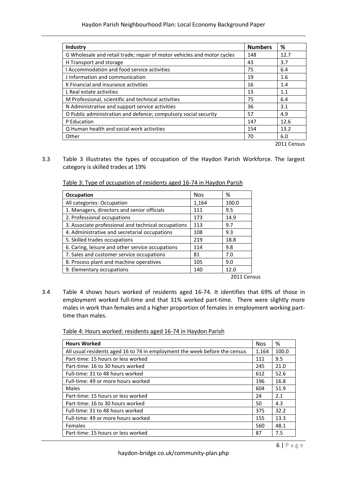| <b>Numbers</b> | %    |
|----------------|------|
| 148            | 12.7 |
| 43             | 3.7  |
| 75             | 6.4  |
| 19             | 1.6  |
| 16             | 1.4  |
| 13             | 1.1  |
| 75             | 6.4  |
| 36             | 3.1  |
| 57             | 4.9  |
| 147            | 12.6 |
| 154            | 13.2 |
| 70             | 6.0  |
|                |      |

3.3 Table 3 illustrates the types of occupation of the Haydon Parish Workforce. The largest category is skilled trades at 19%

|  |  |  | Table 3: Type of occupation of residents aged 16-74 in Haydon Parish |
|--|--|--|----------------------------------------------------------------------|
|--|--|--|----------------------------------------------------------------------|

| <b>Occupation</b>                                   | <b>Nos</b> | %           |
|-----------------------------------------------------|------------|-------------|
| All categories: Occupation                          | 1,164      | 100.0       |
| 1. Managers, directors and senior officials         | 111        | 9.5         |
| 2. Professional occupations                         | 173        | 14.9        |
| 3. Associate professional and technical occupations | 113        | 9.7         |
| 4. Administrative and secretarial occupations       | 108        | 9.3         |
| 5. Skilled trades occupations                       | 219        | 18.8        |
| 6. Caring, leisure and other service occupations    | 114        | 9.8         |
| 7. Sales and customer service occupations           | 81         | 7.0         |
| 8. Process plant and machine operatives             | 105        | 9.0         |
| 9. Elementary occupations                           | 140        | 12.0        |
|                                                     |            | 2011 Census |

3.4 Table 4 shows hours worked of residents aged 16-74. It identifies that 69% of those in employment worked full-time and that 31% worked part-time. There were slightly more males in work than females and a higher proportion of females in employment working parttime than males.

Table 4: Hours worked: residents aged 16-74 in Haydon Parish

| <b>Hours Worked</b>                                                        | <b>Nos</b> | %     |
|----------------------------------------------------------------------------|------------|-------|
| All usual residents aged 16 to 74 in employment the week before the census | 1,164      | 100.0 |
| Part-time: 15 hours or less worked                                         | 111        | 9.5   |
| Part-time: 16 to 30 hours worked                                           | 245        | 21.0  |
| Full-time: 31 to 48 hours worked                                           | 612        | 52.6  |
| Full-time: 49 or more hours worked                                         | 196        | 16.8  |
| Males                                                                      | 604        | 51.9  |
| Part-time: 15 hours or less worked                                         | 24         | 2.1   |
| Part-time: 16 to 30 hours worked                                           | 50         | 4.3   |
| Full-time: 31 to 48 hours worked                                           | 375        | 32.2  |
| Full-time: 49 or more hours worked                                         | 155        | 13.3  |
| <b>Females</b>                                                             | 560        | 48.1  |
| Part-time: 15 hours or less worked                                         | 87         | 7.5   |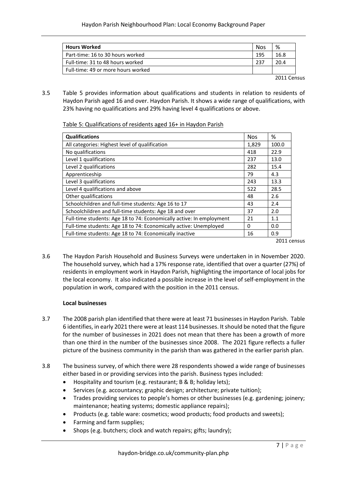| <b>Hours Worked</b>                | <b>Nos</b> | %    |
|------------------------------------|------------|------|
| Part-time: 16 to 30 hours worked   | 195        | 16.8 |
| Full-time: 31 to 48 hours worked   | 237        | 20.4 |
| Full-time: 49 or more hours worked |            |      |
|                                    |            |      |

2011 Census

3.5 Table 5 provides information about qualifications and students in relation to residents of Haydon Parish aged 16 and over. Haydon Parish. It shows a wide range of qualifications, with 23% having no qualifications and 29% having level 4 qualifications or above.

Table 5: Qualifications of residents aged 16+ in Haydon Parish

| <b>Qualifications</b>                                                | <b>Nos</b> | %     |
|----------------------------------------------------------------------|------------|-------|
| All categories: Highest level of qualification                       | 1,829      | 100.0 |
| No qualifications                                                    | 418        | 22.9  |
| Level 1 qualifications                                               | 237        | 13.0  |
| Level 2 qualifications                                               | 282        | 15.4  |
| Apprenticeship                                                       | 79         | 4.3   |
| Level 3 qualifications                                               | 243        | 13.3  |
| Level 4 qualifications and above                                     | 522        | 28.5  |
| Other qualifications                                                 | 48         | 2.6   |
| Schoolchildren and full-time students: Age 16 to 17                  | 43         | 2.4   |
| Schoolchildren and full-time students: Age 18 and over               | 37         | 2.0   |
| Full-time students: Age 18 to 74: Economically active: In employment | 21         | 1.1   |
| Full-time students: Age 18 to 74: Economically active: Unemployed    | 0          | 0.0   |
| Full-time students: Age 18 to 74: Economically inactive              | 16         | 0.9   |

2011 census

3.6 The Haydon Parish Household and Business Surveys were undertaken in in November 2020. The household survey, which had a 17% response rate, identified that over a quarter (27%) of residents in employment work in Haydon Parish, highlighting the importance of local jobs for the local economy. It also indicated a possible increase in the level of self-employment in the population in work, compared with the position in the 2011 census.

## **Local businesses**

- 3.7 The 2008 parish plan identified that there were at least 71 businesses in Haydon Parish. Table 6 identifies, in early 2021 there were at least 114 businesses. It should be noted that the figure for the number of businesses in 2021 does not mean that there has been a growth of more than one third in the number of the businesses since 2008. The 2021 figure reflects a fuller picture of the business community in the parish than was gathered in the earlier parish plan.
- 3.8 The business survey, of which there were 28 respondents showed a wide range of businesses either based in or providing services into the parish. Business types included:
	- Hospitality and tourism (e.g. restaurant; B & B; holiday lets);
	- Services (e.g. accountancy; graphic design; architecture; private tuition);
	- Trades providing services to people's homes or other businesses (e.g. gardening; joinery; maintenance; heating systems; domestic appliance repairs);
	- Products (e.g. table ware: cosmetics; wood products; food products and sweets);
	- Farming and farm supplies;
	- Shops (e.g. butchers; clock and watch repairs; gifts; laundry);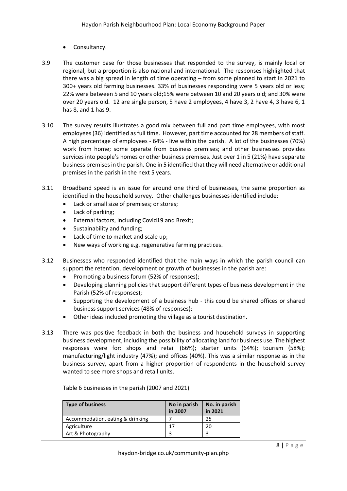- Consultancy.
- 3.9 The customer base for those businesses that responded to the survey, is mainly local or regional, but a proportion is also national and international. The responses highlighted that there was a big spread in length of time operating – from some planned to start in 2021 to 300+ years old farming businesses. 33% of businesses responding were 5 years old or less; 22% were between 5 and 10 years old;15% were between 10 and 20 years old; and 30% were over 20 years old. 12 are single person, 5 have 2 employees, 4 have 3, 2 have 4, 3 have 6, 1 has 8, and 1 has 9.
- 3.10 The survey results illustrates a good mix between full and part time employees, with most employees (36) identified as full time. However, part time accounted for 28 members of staff. A high percentage of employees - 64% - live within the parish. A lot of the businesses (70%) work from home; some operate from business premises; and other businesses provides services into people's homes or other business premises. Just over 1 in 5 (21%) have separate business premises in the parish. One in 5 identified that they will need alternative or additional premises in the parish in the next 5 years.
- 3.11 Broadband speed is an issue for around one third of businesses, the same proportion as identified in the household survey. Other challenges businesses identified include:
	- Lack or small size of premises; or stores;
	- Lack of parking;
	- External factors, including Covid19 and Brexit;
	- Sustainability and funding;
	- Lack of time to market and scale up;
	- New ways of working e.g. regenerative farming practices.
- 3.12 Businesses who responded identified that the main ways in which the parish council can support the retention, development or growth of businesses in the parish are:
	- Promoting a business forum (52% of responses);
	- Developing planning policies that support different types of business development in the Parish (52% of responses);
	- Supporting the development of a business hub this could be shared offices or shared business support services (48% of responses);
	- Other ideas included promoting the village as a tourist destination.
- 3.13 There was positive feedback in both the business and household surveys in supporting business development, including the possibility of allocating land for business use. The highest responses were for: shops and retail (66%); starter units (64%); tourism (58%); manufacturing/light industry (47%); and offices (40%). This was a similar response as in the business survey, apart from a higher proportion of respondents in the household survey wanted to see more shops and retail units.

| <b>Type of business</b>          | No in parish<br>in 2007 | No. in parish<br>in 2021 |
|----------------------------------|-------------------------|--------------------------|
| Accommodation, eating & drinking |                         | 25                       |
| Agriculture                      |                         | 20                       |
| Art & Photography                |                         | ာ                        |

## Table 6 businesses in the parish (2007 and 2021)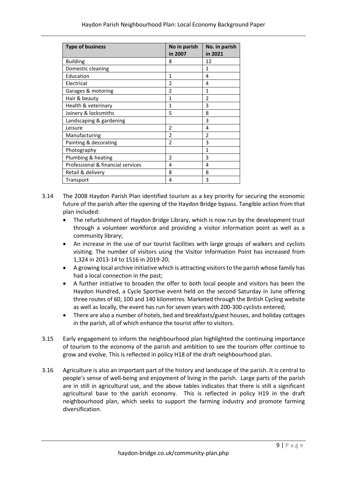| <b>Type of business</b>           | No in parish<br>in 2007 | No. in parish<br>in 2021 |
|-----------------------------------|-------------------------|--------------------------|
| <b>Building</b>                   | 8                       | 12                       |
| Domestic cleaning                 |                         | 1                        |
| Education                         | 1                       | 4                        |
| Electrical                        | 2                       | 4                        |
| Garages & motoring                | 2                       | 1                        |
| Hair & beauty                     | 1                       | $\overline{2}$           |
| Health & veterinary               | 1                       | 3                        |
| Joinery & locksmiths              | 5                       | 8                        |
| Landscaping & gardening           |                         | 3                        |
| Leisure                           | $\mathfrak{p}$          | 4                        |
| Manufacturing                     | $\mathfrak{p}$          | $\mathfrak{p}$           |
| Painting & decorating             | $\mathfrak{p}$          | 3                        |
| Photography                       |                         | 1                        |
| Plumbing & heating                | $\mathfrak{p}$          | 3                        |
| Professional & financial services | 4                       | 4                        |
| Retail & delivery                 | 8                       | 8                        |
| Transport                         | 4                       | 3                        |

- 3.14 The 2008 Haydon Parish Plan identified tourism as a key priority for securing the economic future of the parish after the opening of the Haydon Bridge bypass. Tangible action from that plan included:
	- The refurbishment of Haydon Bridge Library, which is now run by the development trust through a volunteer workforce and providing a visitor information point as well as a community library;
	- An increase in the use of our tourist facilities with large groups of walkers and cyclists visiting. The number of visitors using the Visitor Information Point has increased from 1,324 in 2013-14 to 1516 in 2019-20;
	- A growing local archive initiative which is attracting visitors to the parish whose family has had a local connection in the past;
	- A further initiative to broaden the offer to both local people and visitors has been the Haydon Hundred, a Cycle Sportive event held on the second Saturday in June offering three routes of 60, 100 and 140 kilometres. Marketed through the British Cycling website as well as locally, the event has run for seven years with 200-300 cyclists entered;
	- There are also a number of hotels, bed and breakfasts/guest houses, and holiday cottages in the parish, all of which enhance the tourist offer to visitors.
- 3.15 Early engagement to inform the neighbourhood plan highlighted the continuing importance of tourism to the economy of the parish and ambition to see the tourism offer continue to grow and evolve. This is reflected in policy H18 of the draft neighbourhood plan.
- 3.16 Agriculture is also an important part of the history and landscape of the parish. It is central to people's sense of well-being and enjoyment of living in the parish. Large parts of the parish are in still in agricultural use, and the above tables indicates that there is still a significant agricultural base to the parish economy. This is reflected in policy H19 in the draft neighbourhood plan, which seeks to support the farming industry and promote farming diversification.